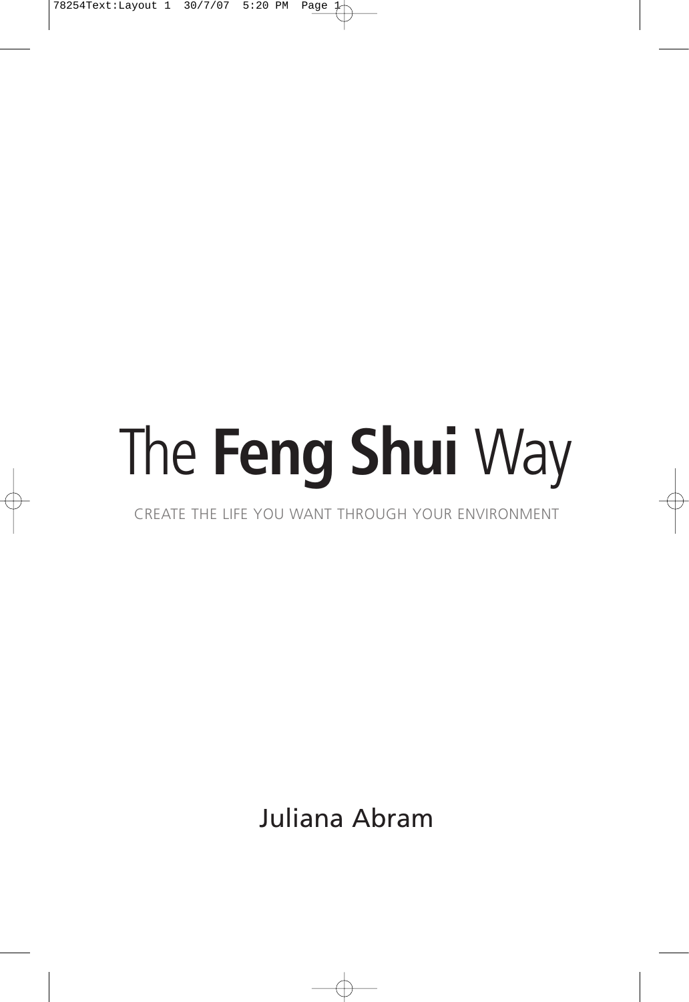## The **Feng Shui** Way

CREATE THE LIFE YOU WANT THROUGH YOUR ENVIRONMENT

Juliana Abram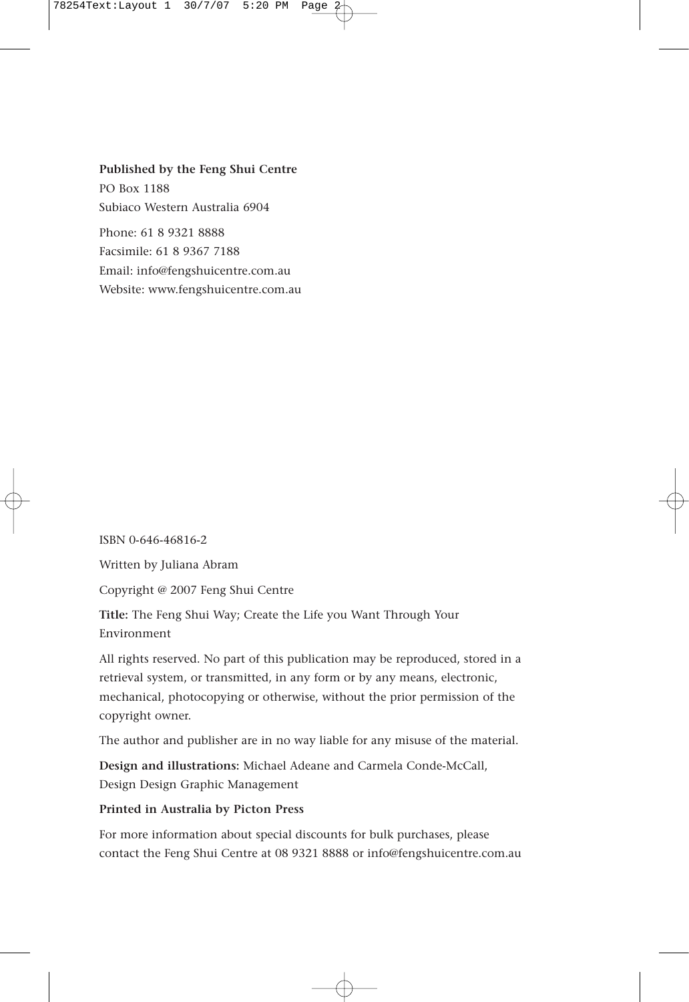**Published by the Feng Shui Centre** PO Box 1188 Subiaco Western Australia 6904 Phone: 61 8 9321 8888 Facsimile: 61 8 9367 7188 Email: info@fengshuicentre.com.au Website: www.fengshuicentre.com.au

ISBN 0-646-46816-2

Written by Juliana Abram

Copyright @ 2007 Feng Shui Centre

**Title:** The Feng Shui Way; Create the Life you Want Through Your Environment

All rights reserved. No part of this publication may be reproduced, stored in a retrieval system, or transmitted, in any form or by any means, electronic, mechanical, photocopying or otherwise, without the prior permission of the copyright owner.

The author and publisher are in no way liable for any misuse of the material.

**Design and illustrations:** Michael Adeane and Carmela Conde-McCall, Design Design Graphic Management

## **Printed in Australia b y Picton Press**

For more information about special discounts for bulk purchases, please contact the Feng Shui Centre at 08 9321 8888 or info@fengshuicentre.com.au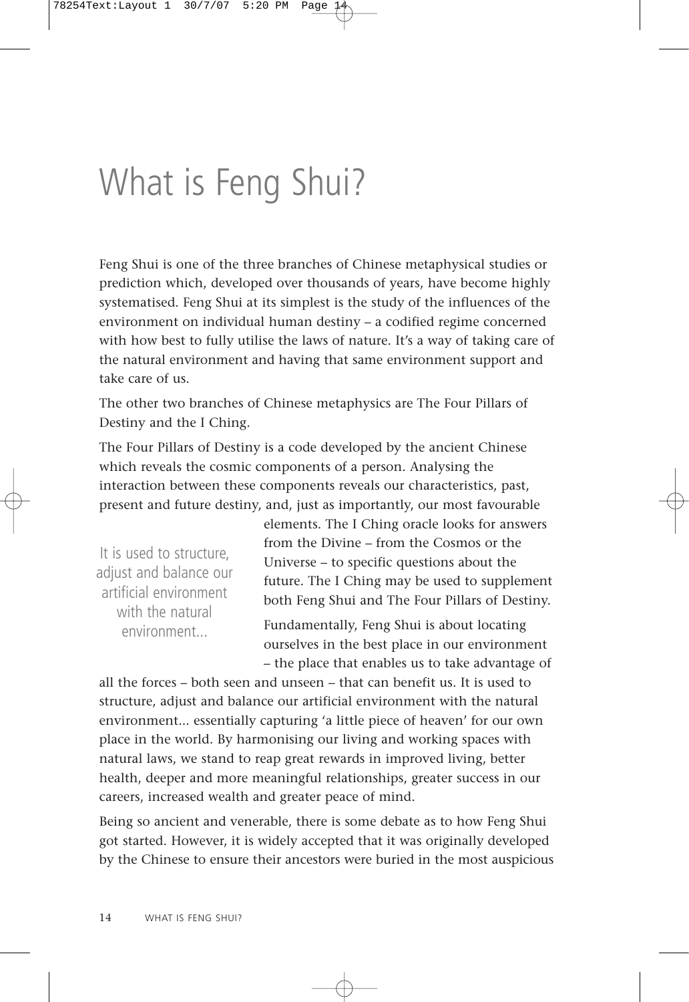## What is Feng Shui?

Feng Shui is one of the three branches of Chinese metaphysical studies or prediction which, developed over thousands of years, have become highly systematised. Feng Shui at its simplest is the study of the influences of the environment on individual human destiny – a codified regime concerned with how best to fully utilise the laws of nature. It's a way of taking care of the natural environment and having that same environment support and take care of us.

The other two branches of Chinese metaphysics are The Four Pillars of Destiny and the I Ching.

The Four Pillars of Destiny is a code developed by the ancient Chinese which reveals the cosmic components of a person. Analysing the interaction between these components reveals our characteristics, past, present and future destiny, and, just as importantly, our most favourable

It is used to structure, adjust and balance our artificial environment with the natural environment...

elements. The I Ching oracle looks for answers from the Divine – from the Cosmos or the Universe – to specific questions about the future. The I Ching may be used to supplement both Feng Shui and The Four Pillars of Destiny.

Fundamentally, Feng Shui is about locating ourselves in the best place in our environment – the place that enables us to take advantage of

all the forces – both seen and unseen – that can benefit us. It is used to structure, adjust and balance our artificial environment with the natural environment... essentially capturing 'a little piece of heaven' for our own place in the world. By harmonising our living and working spaces with natural laws, we stand to reap great rewards in improved living, better health, deeper and more meaningful relationships, greater success in our careers, increased wealth and greater peace of mind.

Being so ancient and venerable, there is some debate as to how Feng Shui got started. However, it is widely accepted that it was originally developed by the Chinese to ensure their ancestors were buried in the most auspicious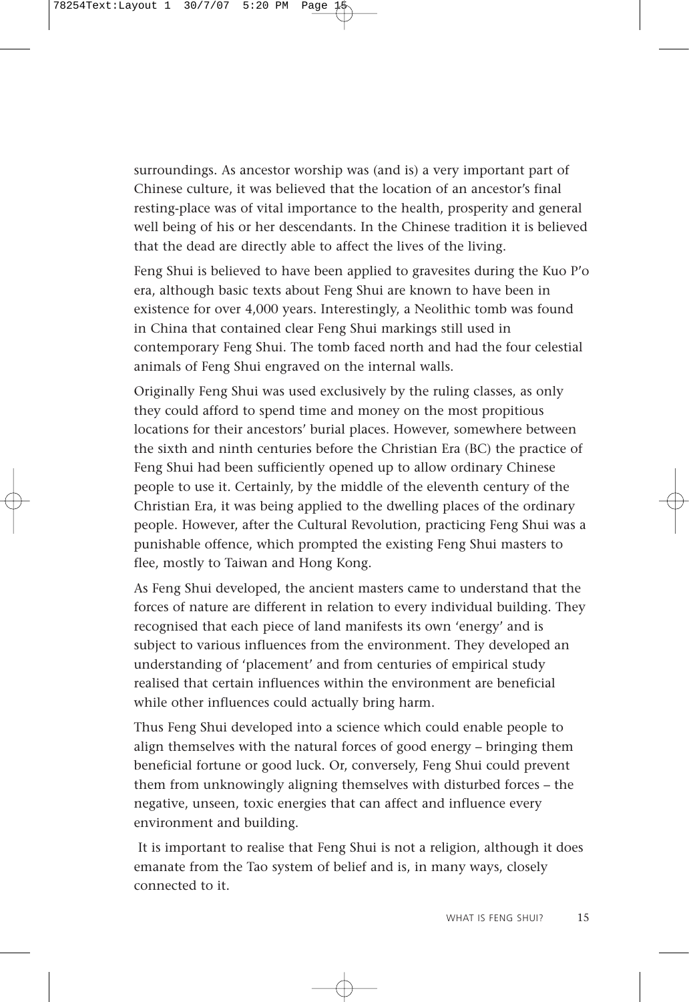surroundings. As ancestor worship was (and is) a very important part of Chinese culture, it was believed that the location of an ancestor's final resting-place was of vital importance to the health, prosperity and general well being of his or her descendants. In the Chinese tradition it is believed that the dead are directly able to affect the lives of the living.

Feng Shui is believed to have been applied to gravesites during the Kuo P'o era, although basic texts about Feng Shui are known to have been in existence for over 4,000 years. Interestingly, a Neolithic tomb was found in China that contained clear Feng Shui markings still used in contemporary Feng Shui. The tomb faced north and had the four celestial animals of Feng Shui engraved on the internal walls.

Originally Feng Shui was used exclusively by the ruling classes, as only they could afford to spend time and money on the most propitious locations for their ancestors' burial places. However, somewhere between the sixth and ninth centuries before the Christian Era (BC) the practice of Feng Shui had been sufficiently opened up to allow ordinary Chinese people to use it. Certainly, by the middle of the eleventh century of the Christian Era, it was being applied to the dwelling places of the ordinary people. However, after the Cultural Revolution, practicing Feng Shui was a punishable offence, which prompted the existing Feng Shui masters to flee, mostly to Taiwan and Hong Kong.

As Feng Shui developed, the ancient masters came to understand that the forces of nature are different in relation to every individual building. They recognised that each piece of land manifests its own 'energy' and is subject to various influences from the environment. They developed an understanding of 'placement' and from centuries of empirical study realised that certain influences within the environment are beneficial while other influences could actually bring harm.

Thus Feng Shui developed into a science which could enable people to align themselves with the natural forces of good energy – bringing them beneficial fortune or good luck. Or, conversely, Feng Shui could prevent them from unknowingly aligning themselves with disturbed forces – the negative, unseen, toxic energies that can affect and influence every environment and building.

It is important to realise that Feng Shui is not a religion, although it does emanate from the Tao system of belief and is, in many ways, closely connected to it.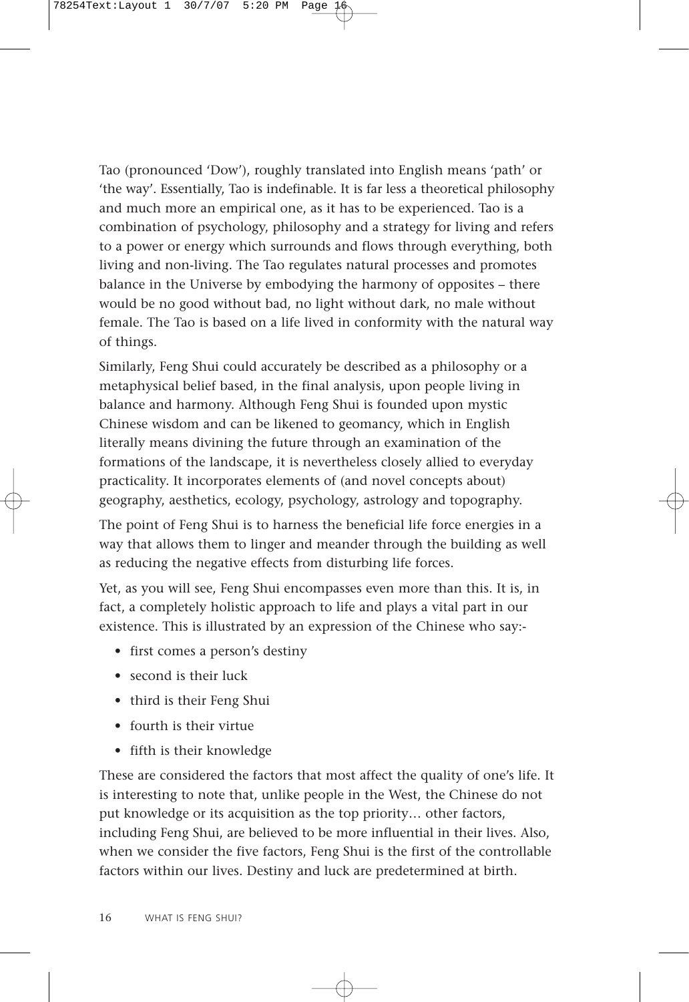Tao (pronounced 'Dow'), roughly translated into English means 'path' or 'the way'. Essentially, Tao is indefinable. It is far less a theoretical philosophy and much more an empirical one, as it has to be experienced. Tao is a combination of psychology, philosophy and a strategy for living and refers to a power or energy which surrounds and flows through everything, both living and non-living. The Tao regulates natural processes and promotes balance in the Universe by embodying the harmony of opposites – there would be no good without bad, no light without dark, no male without female. The Tao is based on a life lived in conformity with the natural way of things.

Similarly, Feng Shui could accurately be described as a philosophy or a metaphysical belief based, in the final analysis, upon people living in balance and harmony. Although Feng Shui is founded upon mystic Chinese wisdom and can be likened to geomancy, which in English literally means divining the future through an examination of the formations of the landscape, it is nevertheless closely allied to everyday practicality. It incorporates elements of (and novel concepts about) geography, aesthetics, ecology, psychology, astrology and topography.

The point of Feng Shui is to harness the beneficial life force energies in a way that allows them to linger and meander through the building as well as reducing the negative effects from disturbing life forces.

Yet, as you will see, Feng Shui encompasses even more than this. It is, in fact, a completely holistic approach to life and plays a vital part in our existence. This is illustrated by an expression of the Chinese who say:-

- first comes a person's destiny
- second is their luck
- third is their Feng Shui
- fourth is their virtue
- fifth is their knowledge

These are considered the factors that most affect the quality of one's life. It is interesting to note that, unlike people in the West, the Chinese do not put knowledge or its acquisition as the top priority… other factors, including Feng Shui, are believed to be more influential in their lives. Also, when we consider the five factors, Feng Shui is the first of the controllable factors within our lives. Destiny and luck are predetermined at birth.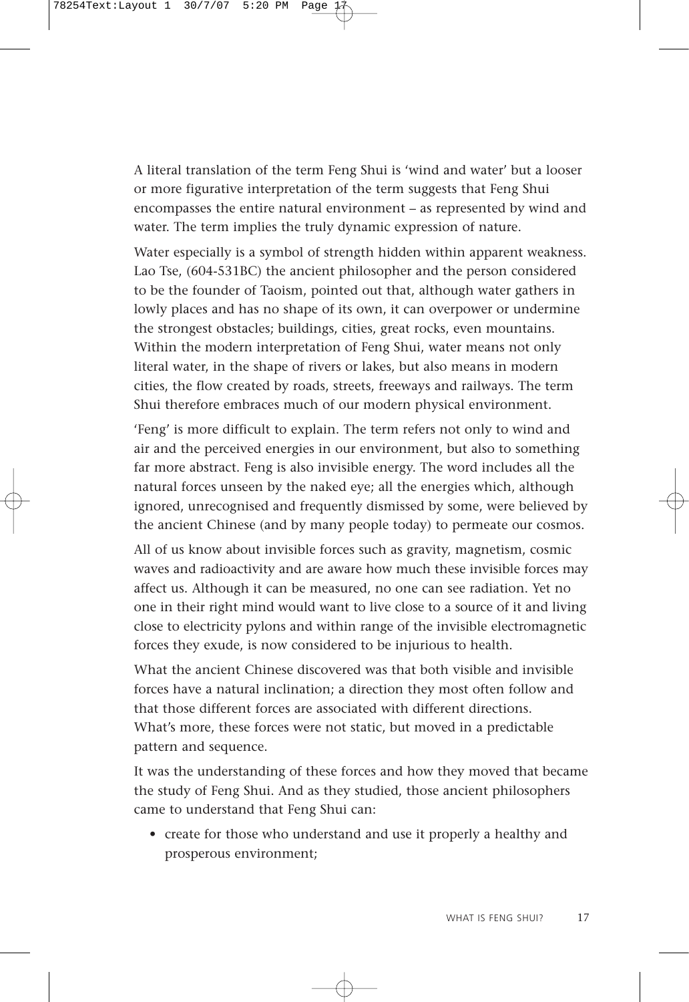A literal translation of the term Feng Shui is 'wind and water' but a looser or more figurative interpretation of the term suggests that Feng Shui encompasses the entire natural environment – as represented by wind and water. The term implies the truly dynamic expression of nature.

Water especially is a symbol of strength hidden within apparent weakness. Lao Tse, (604-531BC) the ancient philosopher and the person considered to be the founder of Taoism, pointed out that, although water gathers in lowly places and has no shape of its own, it can overpower or undermine the strongest obstacles; buildings, cities, great rocks, even mountains. Within the modern interpretation of Feng Shui, water means not only literal water, in the shape of rivers or lakes, but also means in modern cities, the flow created by roads, streets, freeways and railways. The term Shui therefore embraces much of our modern physical environment.

'Feng' is more difficult to explain. The term refers not only to wind and air and the perceived energies in our environment, but also to something far more abstract. Feng is also invisible energy. The word includes all the natural forces unseen by the naked eye; all the energies which, although ignored, unrecognised and frequently dismissed by some, were believed by the ancient Chinese (and by many people today) to permeate our cosmos.

All of us know about invisible forces such as gravity, magnetism, cosmic waves and radioactivity and are aware how much these invisible forces may affect us. Although it can be measured, no one can see radiation. Yet no one in their right mind would want to live close to a source of it and living close to electricity pylons and within range of the invisible electromagnetic forces they exude, is now considered to be injurious to health.

What the ancient Chinese discovered was that both visible and invisible forces have a natural inclination; a direction they most often follow and that those different forces are associated with different directions. What's more, these forces were not static, but moved in a predictable pattern and sequence.

It was the understanding of these forces and how they moved that became the study of Feng Shui. And as they studied, those ancient philosophers came to understand that Feng Shui can:

• create for those who understand and use it properly a healthy and prosperous environment;